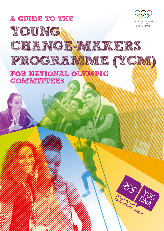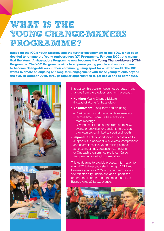# WHAT IS TREE **YOUNG CHANGE-MAKERS PROGRAMME?**

Based on the IOC's Youth Strategy and the further development of the YOG, it has been decided to rename the Young Ambassadors (YA) Programme. For your NOC, this means that the Young Ambassadors Programme now becomes the Young Change-Makers (YCM) Programme. The YCM Programme aims to empower young people and support them to become Change-Makers in their community, using sport for a better world. The IOC wants to create an ongoing and long-term engagement with these young talents beyond the YOG in October 2018, through regular opportunities to get active and to contribute.





In practice, this decision does not generate many changes from the previous programme except:

- **Naming: Young Change-Makers** (instead of Young Ambassadors).
- **Engagement:** Long-term and on-going.
	- Pre-Games: social media, athletes meeting.
	- Games-time: Learn & Share activities, team meetings.
	- Beyond: social media, participation to NOC events or activities, or possibility to develop their own project linked to sport and youth.
- Impact: Greater opportunities possibilities to support IOC's and/or NOCs' events (competitions and championships, youth training camps, athletes meetings), education campaigns or Outreach programmes (Athletes' Career Programme, anti-doping campaign).

This guide aims to provide practical information for your NOC to help you select the right YCM and to ensure you, your YCM and your team officials and athletes fully understand and support the programme in order to get the most out of the Buenos Aires 2018 experience.

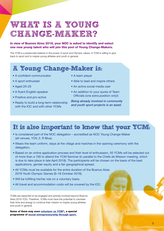# **WHAT IS A YOUNG CHANGE-MAKER?**

#### In view of Buenos Aires 2018, your NOC is asked to identify and select one new young talent who will join this pool of Young Change-Makers.

The YCM is a passionate believer in the power of sport and Olympic values. A YCM is willing to give back to sport and to inspire young athletes and youth in general.

### **A Young Change-Maker is:**

- A confident communicator
- A sport enthusiast
- Aged 20–25
- A fluent English-speaker
- Positive and pro-active
- Ready to build a long-term relationship with the IOC and with other YCMs
- A team player
- Able to lead and inspire others
- An active social media user
- An addition to your quota of Team Officials (one extra position only!)

*Being already involved in community and youth sport projects is an asset.*

#### **It is also important to know that your YCM:**

- Is considered part of the NOC delegation accredited as NOC Young Change-Maker (all venues, YOV, 2, R Blue).
- Wears the team uniform, stays at the village and marches in the opening ceremony with the delegation.
- Based on an online application process and their level of enthusiasm, 50 YCMs will be selected out of more than a 100 to attend the YCM Seminar (in parallel to the Chefs de Mission meeting, which is due to take place in late April 2018). The participants will be chosen on the basis of the best applications, gender equity and a fair geographical spread.
- All YCMs must be available for the entire duration of the Buenos Aires 2018 Youth Olympic Games (6–18 October 2018).
- Will be fulfilling his/her role on a voluntary basis.
- All travel and accommodation costs will be covered by the IOC.

YCMs are expected to be engaged and actively involved beyond Buenos Aires 2018 YOG. Therefore, YCMs must have the potential to volunteer their time and energy to continue their mission to inspire young athletes and youth in general.

Some of them may even volunteer as YCM<sup>+</sup>, a special programme of [social entrepreneurship through sport](https://youtu.be/e38wTZYcE1A).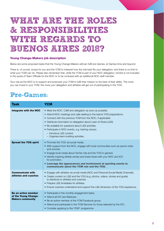# **WHAT ARE THE ROLES & RESPONSIBILITIES WITH REGARDS TO BUENOS AIRES 2018?**

#### Young Change-Makers job description

Below are some proposed tasks that the Young Change-Makers will/can fulfil pre-Games, at Games-time and beyond.

There is, of course, scope for you and the YCM to interpret how the role best fits your delegation; and there is no limit to what your YCM can do. Please also remember that, while the YCM is part of your NOC delegation, he/she is not included in the quota of Team Officials for the NOC or to be confused with an additional NOC staff member.

Your role as the NOC is to support and empower your YCM to fulfil their mission to the best of their ability. The more you can invest in your YCM, the more your delegation and athletes will get out of participating in the YOG.

### **Pre-Games:**

| Task                                                                   | <b>YCM</b>                                                                                                                                                                                                                                                                                                                                                                                                                                               |
|------------------------------------------------------------------------|----------------------------------------------------------------------------------------------------------------------------------------------------------------------------------------------------------------------------------------------------------------------------------------------------------------------------------------------------------------------------------------------------------------------------------------------------------|
| Integrate with the NOC                                                 | • Meet the NOC, CdM and delegation as soon as possible.<br>• Attend NOC meetings and calls relating to the teams YOG preparations.<br>• Connect with the previous YCM from the NOC, if applicable.<br>• Distribute information to delegation about Learn & Share (L&S).<br>• Be available for questions about L&S activities.<br>• Participate in NOC events, e.g. training camps:<br>$-$ Introduce L&S content.<br>- Organise team-building activities. |
| <b>Spread the YOG spirit</b>                                           | • Promote the YOG via social media.<br>• With support from the NOC, engage with local communities such as sports clubs<br>and schools.<br>• Engage local media about his/her role and the YOG in general.<br>• Identify inspiring athlete stories and share these with your NOC and IOC<br>for promotion.<br>• Leverage the appearances and involvement at sporting events to<br>communicate about the YCM role and the YOG.                             |
| <b>Communicate with</b><br>athletes and coaches                        | • Engage with athletes via social media (NOC and Personal Social Media Channels).<br>• Create content on L&S and the YOG (e.g. photos, videos, stories and guide)<br>to distribute to athletes and coaches.<br>• Prepare L&S timetables for athletes.<br>• Ensure coaches understand and support the L&S dimension of the YOG experience.                                                                                                                |
| Be an active member<br>of the Young Change-<br><b>Makers community</b> | • Participate in the monthly engagement tasks.<br>• Attend all IOC-led Webinars.<br>• Be an active member of the YCM Facebook group.<br>• Attend and participate in the YCM Seminar for those selected by the IOC.<br>• Consider applying to the YCM+ programme.                                                                                                                                                                                         |